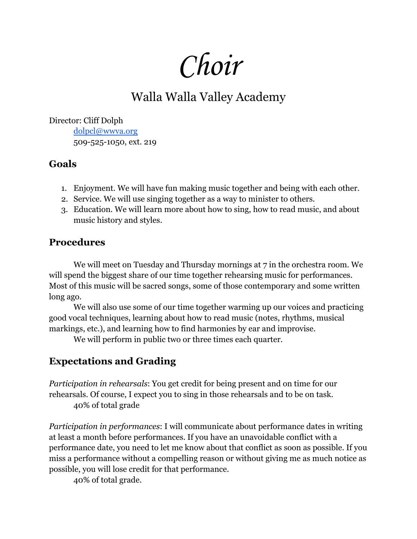Choir

## Walla Walla Valley Academy

Director: Cliff Dolph [dolpcl@wwva.org](mailto:dolpcl@wwva.org) 509-525-1050, ext. 219

## **Goals**

- 1. Enjoyment. We will have fun making music together and being with each other.
- 2. Service. We will use singing together as a way to minister to others.
- 3. Education. We will learn more about how to sing, how to read music, and about music history and styles.

## **Procedures**

We will meet on Tuesday and Thursday mornings at 7 in the orchestra room. We will spend the biggest share of our time together rehearsing music for performances. Most of this music will be sacred songs, some of those contemporary and some written long ago.

We will also use some of our time together warming up our voices and practicing good vocal techniques, learning about how to read music (notes, rhythms, musical markings, etc.), and learning how to find harmonies by ear and improvise.

We will perform in public two or three times each quarter.

## **Expectations and Grading**

*Participation in rehearsals*: You get credit for being present and on time for our rehearsals. Of course, I expect you to sing in those rehearsals and to be on task. 40% of total grade

*Participation in performances*: I will communicate about performance dates in writing at least a month before performances. If you have an unavoidable conflict with a performance date, you need to let me know about that conflict as soon as possible. If you miss a performance without a compelling reason or without giving me as much notice as possible, you will lose credit for that performance.

40% of total grade.